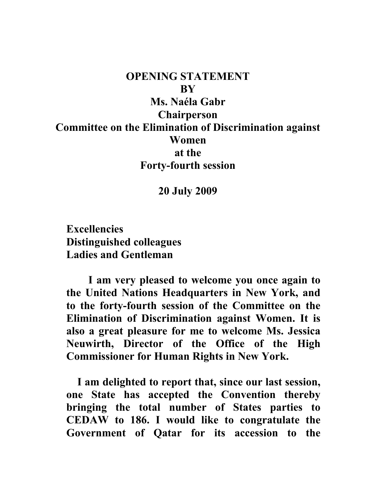## **OPENING STATEMENT BY Ms. Naéla Gabr Chairperson Committee on the Elimination of Discrimination against Women at the Forty-fourth session**

## **20 July 2009**

**Excellencies Distinguished colleagues Ladies and Gentleman** 

**I am very pleased to welcome you once again to the United Nations Headquarters in New York, and to the forty-fourth session of the Committee on the Elimination of Discrimination against Women. It is also a great pleasure for me to welcome Ms. Jessica Neuwirth, Director of the Office of the High Commissioner for Human Rights in New York.** 

 **I am delighted to report that, since our last session, one State has accepted the Convention thereby bringing the total number of States parties to CEDAW to 186. I would like to congratulate the Government of Qatar for its accession to the**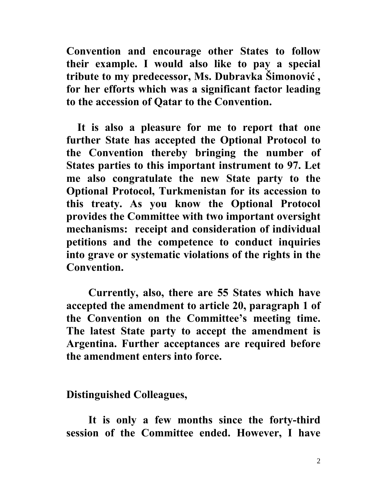**Convention and encourage other States to follow their example. I would also like to pay a special tribute to my predecessor, [Ms. Dubravka Šimonovi](http://www2.ohchr.org/english/bodies/cedaw/docs/memberscv/Simonovic.pdf)ć , for her efforts which was a significant factor leading to the accession of Qatar to the Convention.** 

 **It is also a pleasure for me to report that one further State has accepted the Optional Protocol to the Convention thereby bringing the number of States parties to this important instrument to 97. Let me also congratulate the new State party to the Optional Protocol, Turkmenistan for its accession to this treaty. As you know the Optional Protocol provides the Committee with two important oversight mechanisms: receipt and consideration of individual petitions and the competence to conduct inquiries into grave or systematic violations of the rights in the Convention.** 

**Currently, also, there are 55 States which have accepted the amendment to article 20, paragraph 1 of the Convention on the Committee's meeting time. The latest State party to accept the amendment is Argentina. Further acceptances are required before the amendment enters into force.** 

**Distinguished Colleagues,** 

**It is only a few months since the forty-third session of the Committee ended. However, I have**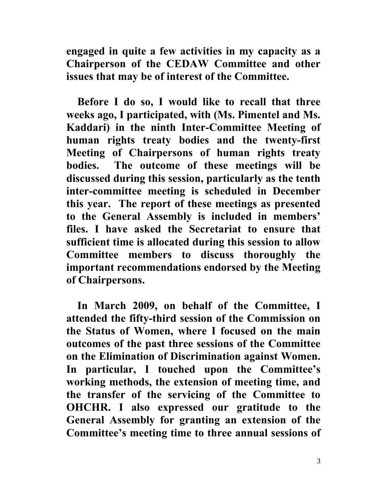**engaged in quite a few activities in my capacity as a Chairperson of the CEDAW Committee and other issues that may be of interest of the Committee.** 

 **Before I do so, I would like to recall that three weeks ago, I participated, with (Ms. Pimentel and Ms. Kaddari) in the ninth Inter-Committee Meeting of human rights treaty bodies and the twenty-first Meeting of Chairpersons of human rights treaty bodies. The outcome of these meetings will be discussed during this session, particularly as the tenth inter-committee meeting is scheduled in December this year. The report of these meetings as presented to the General Assembly is included in members' files. I have asked the Secretariat to ensure that sufficient time is allocated during this session to allow Committee members to discuss thoroughly the important recommendations endorsed by the Meeting of Chairpersons.** 

 **In March 2009, on behalf of the Committee, I attended the fifty-third session of the Commission on the Status of Women, where I focused on the main outcomes of the past three sessions of the Committee on the Elimination of Discrimination against Women. In particular, I touched upon the Committee's working methods, the extension of meeting time, and the transfer of the servicing of the Committee to OHCHR. I also expressed our gratitude to the General Assembly for granting an extension of the Committee's meeting time to three annual sessions of**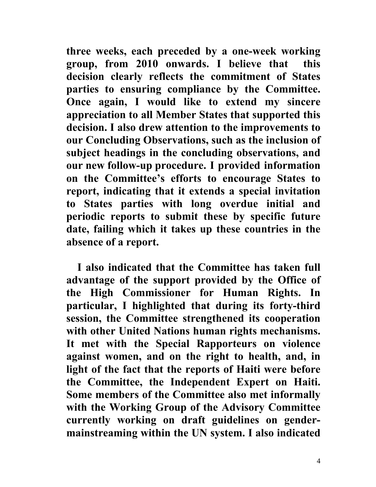**three weeks, each preceded by a one-week working group, from 2010 onwards. I believe that this decision clearly reflects the commitment of States parties to ensuring compliance by the Committee. Once again, I would like to extend my sincere appreciation to all Member States that supported this decision. I also drew attention to the improvements to our Concluding Observations, such as the inclusion of subject headings in the concluding observations, and our new follow-up procedure. I provided information on the Committee's efforts to encourage States to report, indicating that it extends a special invitation to States parties with long overdue initial and periodic reports to submit these by specific future date, failing which it takes up these countries in the absence of a report.** 

 **I also indicated that the Committee has taken full advantage of the support provided by the Office of the High Commissioner for Human Rights. In particular, I highlighted that during its forty-third session, the Committee strengthened its cooperation with other United Nations human rights mechanisms. It met with the Special Rapporteurs on violence against women, and on the right to health, and, in light of the fact that the reports of Haiti were before the Committee, the Independent Expert on Haiti. Some members of the Committee also met informally with the Working Group of the Advisory Committee currently working on draft guidelines on gendermainstreaming within the UN system. I also indicated**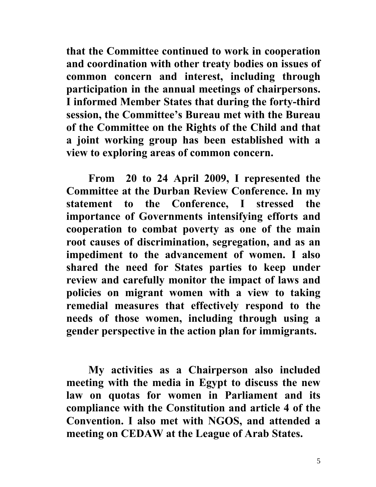**that the Committee continued to work in cooperation and coordination with other treaty bodies on issues of common concern and interest, including through participation in the annual meetings of chairpersons. I informed Member States that during the forty-third session, the Committee's Bureau met with the Bureau of the Committee on the Rights of the Child and that a joint working group has been established with a view to exploring areas of common concern.** 

**From 20 to 24 April 2009, I represented the Committee at the Durban Review Conference. In my statement to the Conference, I stressed the importance of Governments intensifying efforts and cooperation to combat poverty as one of the main root causes of discrimination, segregation, and as an impediment to the advancement of women. I also shared the need for States parties to keep under review and carefully monitor the impact of laws and policies on migrant women with a view to taking remedial measures that effectively respond to the needs of those women, including through using a gender perspective in the action plan for immigrants.** 

**My activities as a Chairperson also included meeting with the media in Egypt to discuss the new law on quotas for women in Parliament and its compliance with the Constitution and article 4 of the Convention. I also met with NGOS, and attended a meeting on CEDAW at the League of Arab States.**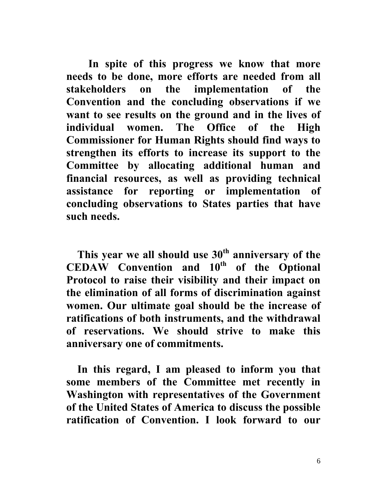**In spite of this progress we know that more needs to be done, more efforts are needed from all stakeholders on the implementation of the Convention and the concluding observations if we want to see results on the ground and in the lives of individual women. The Office of the High Commissioner for Human Rights should find ways to strengthen its efforts to increase its support to the Committee by allocating additional human and financial resources, as well as providing technical assistance for reporting or implementation of concluding observations to States parties that have such needs.** 

 **This year we all should use 30th anniversary of the CEDAW Convention and 10th of the Optional Protocol to raise their visibility and their impact on the elimination of all forms of discrimination against women. Our ultimate goal should be the increase of ratifications of both instruments, and the withdrawal of reservations. We should strive to make this anniversary one of commitments.** 

 **In this regard, I am pleased to inform you that some members of the Committee met recently in Washington with representatives of the Government of the United States of America to discuss the possible ratification of Convention. I look forward to our**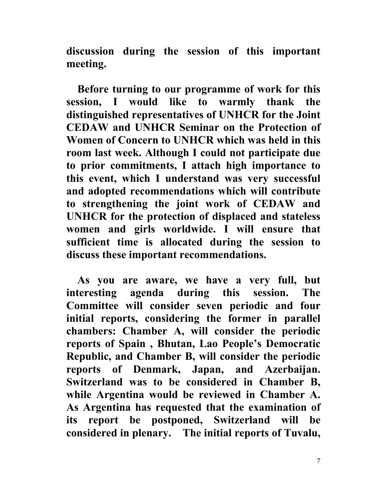**discussion during the session of this important meeting.** 

 **Before turning to our programme of work for this session, I would like to warmly thank the distinguished representatives of UNHCR for the Joint CEDAW and UNHCR Seminar on the Protection of Women of Concern to UNHCR which was held in this room last week. Although I could not participate due to prior commitments, I attach high importance to this event, which I understand was very successful and adopted recommendations which will contribute to strengthening the joint work of CEDAW and UNHCR for the protection of displaced and stateless women and girls worldwide. I will ensure that sufficient time is allocated during the session to discuss these important recommendations.** 

**As you are aware, we have a very full, but interesting agenda during this session. The Committee will consider seven periodic and four initial reports, considering the former in parallel chambers: Chamber A, will consider the periodic reports of Spain , Bhutan, Lao People's Democratic Republic, and Chamber B, will consider the periodic reports of Denmark, Japan, and Azerbaijan. Switzerland was to be considered in Chamber B, while Argentina would be reviewed in Chamber A. As Argentina has requested that the examination of its report be postponed, Switzerland will be considered in plenary. The initial reports of Tuvalu,**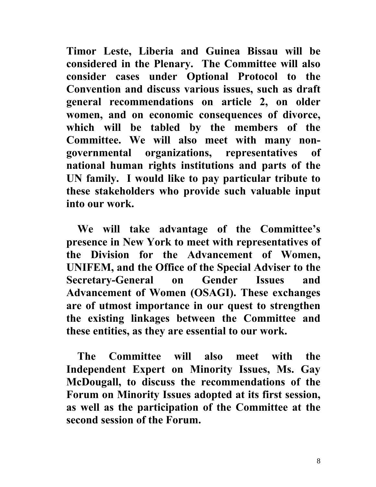**Timor Leste, Liberia and Guinea Bissau will be considered in the Plenary. The Committee will also consider cases under Optional Protocol to the Convention and discuss various issues, such as draft general recommendations on article 2, on older women, and on economic consequences of divorce, which will be tabled by the members of the Committee. We will also meet with many nongovernmental organizations, representatives of national human rights institutions and parts of the UN family. I would like to pay particular tribute to these stakeholders who provide such valuable input into our work.** 

 **We will take advantage of the Committee's presence in New York to meet with representatives of the Division for the Advancement of Women, UNIFEM, and the Office of the Special Adviser to the Secretary-General on Gender Issues and Advancement of Women (OSAGI). These exchanges are of utmost importance in our quest to strengthen the existing linkages between the Committee and these entities, as they are essential to our work.** 

 **The Committee will also meet with the Independent Expert on Minority Issues, Ms. Gay McDougall, to discuss the recommendations of the Forum on Minority Issues adopted at its first session, as well as the participation of the Committee at the second session of the Forum.**